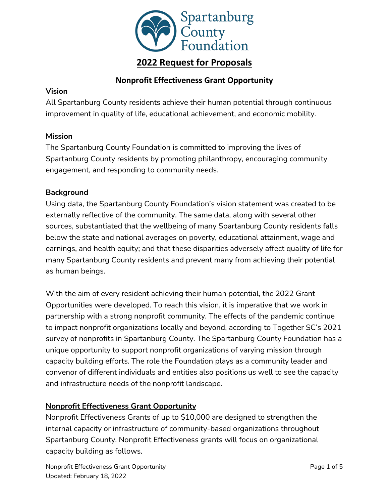

# **2022 Request for Proposals**

## **Nonprofit Effectiveness Grant Opportunity**

### **Vision**

All Spartanburg County residents achieve their human potential through continuous improvement in quality of life, educational achievement, and economic mobility.

## **Mission**

The Spartanburg County Foundation is committed to improving the lives of Spartanburg County residents by promoting philanthropy, encouraging community engagement, and responding to community needs.

## **Background**

Using data, the Spartanburg County Foundation's vision statement was created to be externally reflective of the community. The same data, along with several other sources, substantiated that the wellbeing of many Spartanburg County residents falls below the state and national averages on poverty, educational attainment, wage and earnings, and health equity; and that these disparities adversely affect quality of life for many Spartanburg County residents and prevent many from achieving their potential as human beings.

With the aim of every resident achieving their human potential, the 2022 Grant Opportunities were developed. To reach this vision, it is imperative that we work in partnership with a strong nonprofit community. The effects of the pandemic continue to impact nonprofit organizations locally and beyond, according to Together SC's 2021 survey of nonprofits in Spartanburg County. The Spartanburg County Foundation has a unique opportunity to support nonprofit organizations of varying mission through capacity building efforts. The role the Foundation plays as a community leader and convenor of different individuals and entities also positions us well to see the capacity and infrastructure needs of the nonprofit landscape.

## **Nonprofit Effectiveness Grant Opportunity**

Nonprofit Effectiveness Grants of up to \$10,000 are designed to strengthen the internal capacity or infrastructure of community-based organizations throughout Spartanburg County. Nonprofit Effectiveness grants will focus on organizational capacity building as follows.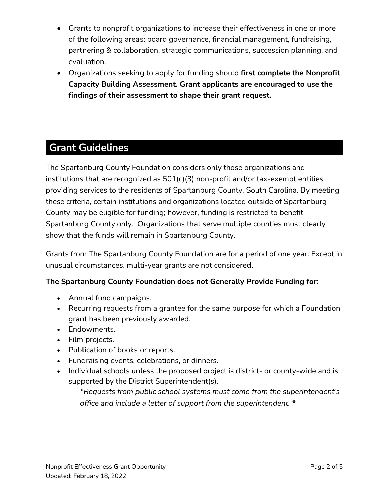- Grants to nonprofit organizations to increase their effectiveness in one or more of the following areas: board governance, financial management, fundraising, partnering & collaboration, strategic communications, succession planning, and evaluation.
- Organizations seeking to apply for funding should **first complete the Nonprofit Capacity Building Assessment. Grant applicants are encouraged to use the findings of their assessment to shape their grant request.**

# **Grant Guidelines**

The Spartanburg County Foundation considers only those organizations and institutions that are recognized as 501(c)(3) non-profit and/or tax-exempt entities providing services to the residents of Spartanburg County, South Carolina. By meeting these criteria, certain institutions and organizations located outside of Spartanburg County may be eligible for funding; however, funding is restricted to benefit Spartanburg County only. Organizations that serve multiple counties must clearly show that the funds will remain in Spartanburg County.

Grants from The Spartanburg County Foundation are for a period of one year. Except in unusual circumstances, multi-year grants are not considered.

## **The Spartanburg County Foundation does not Generally Provide Funding for:**

- Annual fund campaigns.
- Recurring requests from a grantee for the same purpose for which a Foundation grant has been previously awarded.
- Endowments.
- Film projects.
- Publication of books or reports.
- Fundraising events, celebrations, or dinners.
- Individual schools unless the proposed project is district- or county-wide and is supported by the District Superintendent(s).

*\*Requests from public school systems must come from the superintendent's office and include a letter of support from the superintendent. \**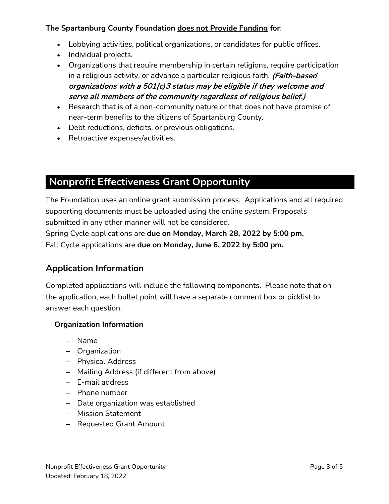## **The Spartanburg County Foundation does not Provide Funding for**:

- Lobbying activities, political organizations, or candidates for public offices.
- Individual projects.
- Organizations that require membership in certain religions, require participation in a religious activity, or advance a particular religious faith. (Faith-based organizations with a 501(c)3 status may be eligible if they welcome and serve all members of the community regardless of religious belief.)
- Research that is of a non-community nature or that does not have promise of near-term benefits to the citizens of Spartanburg County.
- Debt reductions, deficits, or previous obligations.
- Retroactive expenses/activities.

# **Nonprofit Effectiveness Grant Opportunity**

The Foundation uses an online grant submission process. Applications and all required supporting documents must be uploaded using the online system. Proposals submitted in any other manner will not be considered.

Spring Cycle applications are **due on Monday, March 28, 2022 by 5:00 pm.** Fall Cycle applications are **due on Monday, June 6, 2022 by 5:00 pm.**

## **Application Information**

Completed applications will include the following components. Please note that on the application, each bullet point will have a separate comment box or picklist to answer each question.

## **Organization Information**

- Name
- Organization
- Physical Address
- Mailing Address (if different from above)
- E-mail address
- Phone number
- Date organization was established
- Mission Statement
- Requested Grant Amount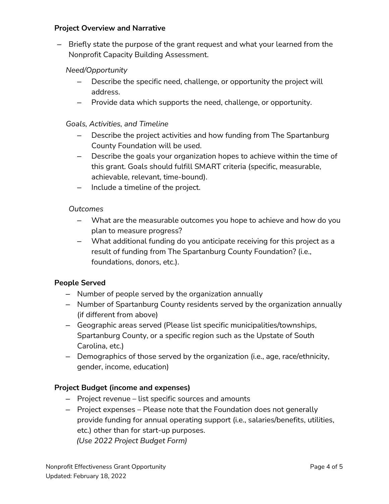### **Project Overview and Narrative**

– Briefly state the purpose of the grant request and what your learned from the Nonprofit Capacity Building Assessment.

## *Need/Opportunity*

- Describe the specific need, challenge, or opportunity the project will address.
- Provide data which supports the need, challenge, or opportunity.

### *Goals, Activities, and Timeline*

- Describe the project activities and how funding from The Spartanburg County Foundation will be used.
- Describe the goals your organization hopes to achieve within the time of this grant. Goals should fulfill SMART criteria (specific, measurable, achievable, relevant, time-bound).
- Include a timeline of the project.

### *Outcomes*

- What are the measurable outcomes you hope to achieve and how do you plan to measure progress?
- What additional funding do you anticipate receiving for this project as a result of funding from The Spartanburg County Foundation? (i.e., foundations, donors, etc.).

### **People Served**

- Number of people served by the organization annually
- Number of Spartanburg County residents served by the organization annually (if different from above)
- Geographic areas served (Please list specific municipalities/townships, Spartanburg County, or a specific region such as the Upstate of South Carolina, etc.)
- Demographics of those served by the organization (i.e., age, race/ethnicity, gender, income, education)

### **Project Budget (income and expenses)**

- Project revenue list specific sources and amounts
- Project expenses Please note that the Foundation does not generally provide funding for annual operating support (i.e., salaries/benefits, utilities, etc.) other than for start-up purposes.  *(Use 2022 Project Budget Form)*